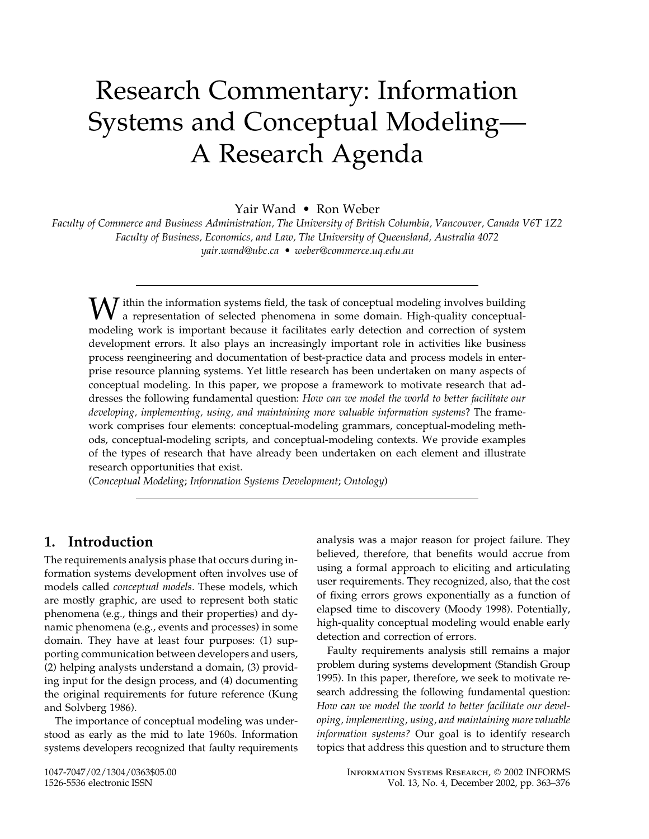# Research Commentary: Information Systems and Conceptual Modeling— A Research Agenda

Yair Wand • Ron Weber

*Faculty of Commerce and Business Administration, The University of British Columbia, Vancouver, Canada V6T 1Z2 Faculty of Business, Economics, and Law, The University of Queensland, Australia 4072 yair.wand@ubc.ca • weber@commerce.uq.edu.au*

W ithin the information systems field, the task of conceptual modeling involves building<br>a representation of selected phenomena in some domain. High-quality conceptualmodeling work is important because it facilitates early detection and correction of system development errors. It also plays an increasingly important role in activities like business process reengineering and documentation of best-practice data and process models in enterprise resource planning systems. Yet little research has been undertaken on many aspects of conceptual modeling. In this paper, we propose a framework to motivate research that addresses the following fundamental question: *How can we model the world to better facilitate our developing, implementing, using, and maintaining more valuable information systems*? The framework comprises four elements: conceptual-modeling grammars, conceptual-modeling methods, conceptual-modeling scripts, and conceptual-modeling contexts. We provide examples of the types of research that have already been undertaken on each element and illustrate research opportunities that exist.

(*Conceptual Modeling*; *Information Systems Development*; *Ontology*)

# **1. Introduction**

The requirements analysis phase that occurs during information systems development often involves use of models called *conceptual models*. These models, which are mostly graphic, are used to represent both static phenomena (e.g., things and their properties) and dynamic phenomena (e.g., events and processes) in some domain. They have at least four purposes: (1) supporting communication between developers and users, (2) helping analysts understand a domain, (3) providing input for the design process, and (4) documenting the original requirements for future reference (Kung and Solvberg 1986).

The importance of conceptual modeling was understood as early as the mid to late 1960s. Information systems developers recognized that faulty requirements analysis was a major reason for project failure. They believed, therefore, that benefits would accrue from using a formal approach to eliciting and articulating user requirements. They recognized, also, that the cost of fixing errors grows exponentially as a function of elapsed time to discovery (Moody 1998). Potentially, high-quality conceptual modeling would enable early detection and correction of errors.

Faulty requirements analysis still remains a major problem during systems development (Standish Group 1995). In this paper, therefore, we seek to motivate research addressing the following fundamental question: *How can we model the world to better facilitate our developing, implementing, using, and maintaining more valuable information systems?* Our goal is to identify research topics that address this question and to structure them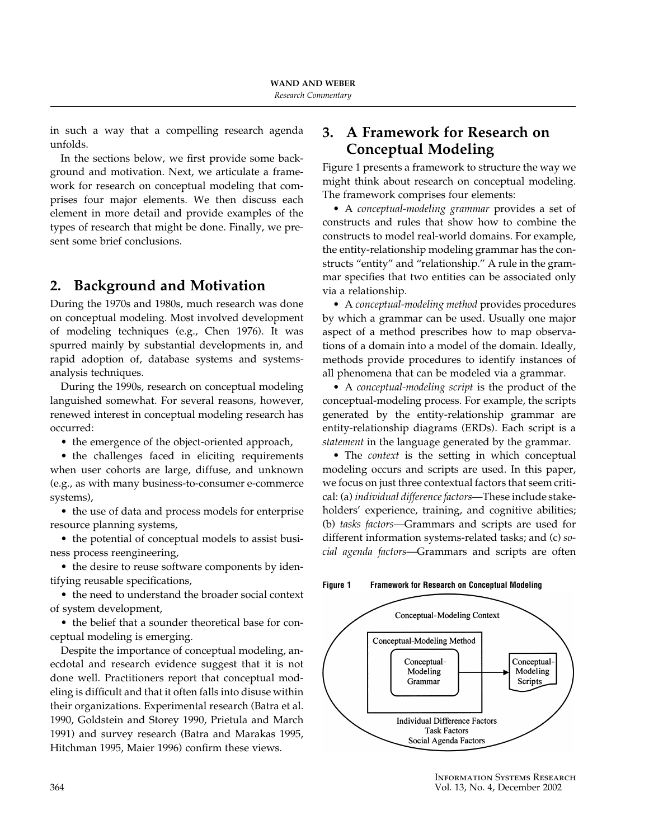in such a way that a compelling research agenda unfolds.

In the sections below, we first provide some background and motivation. Next, we articulate a framework for research on conceptual modeling that comprises four major elements. We then discuss each element in more detail and provide examples of the types of research that might be done. Finally, we present some brief conclusions.

# **2. Background and Motivation**

During the 1970s and 1980s, much research was done on conceptual modeling. Most involved development of modeling techniques (e.g., Chen 1976). It was spurred mainly by substantial developments in, and rapid adoption of, database systems and systemsanalysis techniques.

During the 1990s, research on conceptual modeling languished somewhat. For several reasons, however, renewed interest in conceptual modeling research has occurred:

• the emergence of the object-oriented approach,

• the challenges faced in eliciting requirements when user cohorts are large, diffuse, and unknown (e.g., as with many business-to-consumer e-commerce systems),

• the use of data and process models for enterprise resource planning systems,

• the potential of conceptual models to assist business process reengineering,

• the desire to reuse software components by identifying reusable specifications,

• the need to understand the broader social context of system development,

• the belief that a sounder theoretical base for conceptual modeling is emerging.

Despite the importance of conceptual modeling, anecdotal and research evidence suggest that it is not done well. Practitioners report that conceptual modeling is difficult and that it often falls into disuse within their organizations. Experimental research (Batra et al. 1990, Goldstein and Storey 1990, Prietula and March 1991) and survey research (Batra and Marakas 1995, Hitchman 1995, Maier 1996) confirm these views.

# **3.** A Framework for Research on **Conceptual Modeling**

Figure 1 presents a framework to structure the way we might think about research on conceptual modeling. The framework comprises four elements:

• A *conceptual-modeling grammar* provides a set of constructs and rules that show how to combine the constructs to model real-world domains. For example, the entity-relationship modeling grammar has the constructs "entity" and "relationship." A rule in the grammar specifies that two entities can be associated only via a relationship.

• A *conceptual-modeling method* provides procedures by which a grammar can be used. Usually one major aspect of a method prescribes how to map observations of a domain into a model of the domain. Ideally, methods provide procedures to identify instances of all phenomena that can be modeled via a grammar.

• A *conceptual-modeling script* is the product of the conceptual-modeling process. For example, the scripts generated by the entity-relationship grammar are entity-relationship diagrams (ERDs). Each script is a *statement* in the language generated by the grammar.

• The *context* is the setting in which conceptual modeling occurs and scripts are used. In this paper, we focus on just three contextual factors that seem critical: (a) *individual difference factors*—These include stakeholders' experience, training, and cognitive abilities; (b) *tasks factors*—Grammars and scripts are used for different information systems-related tasks; and (c) *social agenda factors*—Grammars and scripts are often

#### **Figure 1 Framework for Research on Conceptual Modeling**



Information Systems Research 364 Vol. 13, No. 4, December 2002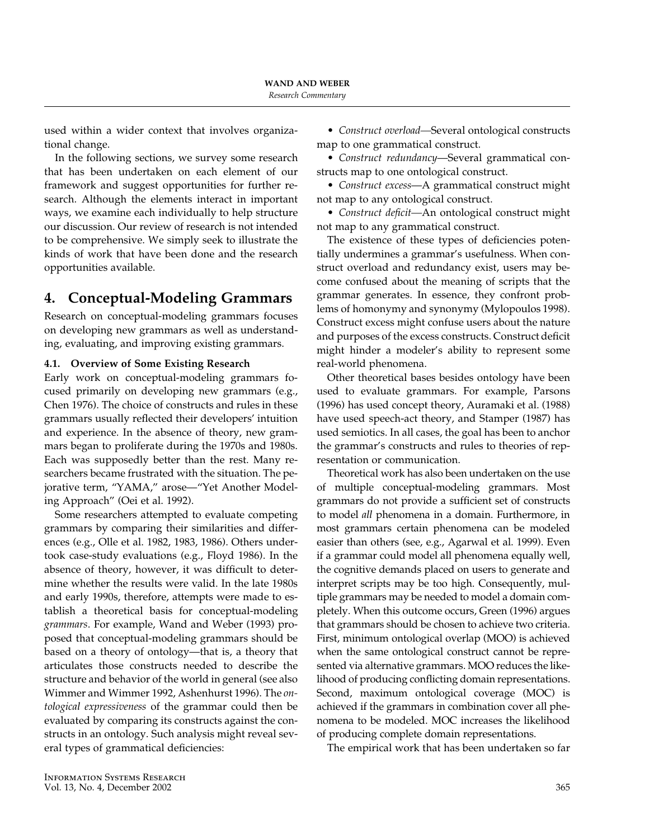used within a wider context that involves organizational change.

In the following sections, we survey some research that has been undertaken on each element of our framework and suggest opportunities for further research. Although the elements interact in important ways, we examine each individually to help structure our discussion. Our review of research is not intended to be comprehensive. We simply seek to illustrate the kinds of work that have been done and the research opportunities available.

# **4. Conceptual-Modeling Grammars**

Research on conceptual-modeling grammars focuses on developing new grammars as well as understanding, evaluating, and improving existing grammars.

### **4.1. Overview of Some Existing Research**

Early work on conceptual-modeling grammars focused primarily on developing new grammars (e.g., Chen 1976). The choice of constructs and rules in these grammars usually reflected their developers' intuition and experience. In the absence of theory, new grammars began to proliferate during the 1970s and 1980s. Each was supposedly better than the rest. Many researchers became frustrated with the situation. The pejorative term, "YAMA," arose—"Yet Another Modeling Approach" (Oei et al. 1992).

Some researchers attempted to evaluate competing grammars by comparing their similarities and differences (e.g., Olle et al. 1982, 1983, 1986). Others undertook case-study evaluations (e.g., Floyd 1986). In the absence of theory, however, it was difficult to determine whether the results were valid. In the late 1980s and early 1990s, therefore, attempts were made to establish a theoretical basis for conceptual-modeling *grammars*. For example, Wand and Weber (1993) proposed that conceptual-modeling grammars should be based on a theory of ontology—that is, a theory that articulates those constructs needed to describe the structure and behavior of the world in general (see also Wimmer and Wimmer 1992, Ashenhurst 1996). The *ontological expressiveness* of the grammar could then be evaluated by comparing its constructs against the constructs in an ontology. Such analysis might reveal several types of grammatical deficiencies:

• *Construct overload—*Several ontological constructs map to one grammatical construct.

• *Construct redundancy*—Several grammatical constructs map to one ontological construct.

• *Construct excess*—A grammatical construct might not map to any ontological construct.

• *Construct deficit—*An ontological construct might not map to any grammatical construct.

The existence of these types of deficiencies potentially undermines a grammar's usefulness. When construct overload and redundancy exist, users may become confused about the meaning of scripts that the grammar generates. In essence, they confront problems of homonymy and synonymy (Mylopoulos 1998). Construct excess might confuse users about the nature and purposes of the excess constructs. Construct deficit might hinder a modeler's ability to represent some real-world phenomena.

Other theoretical bases besides ontology have been used to evaluate grammars. For example, Parsons (1996) has used concept theory, Auramaki et al. (1988) have used speech-act theory, and Stamper (1987) has used semiotics. In all cases, the goal has been to anchor the grammar's constructs and rules to theories of representation or communication.

Theoretical work has also been undertaken on the use of multiple conceptual-modeling grammars. Most grammars do not provide a sufficient set of constructs to model *all* phenomena in a domain. Furthermore, in most grammars certain phenomena can be modeled easier than others (see, e.g., Agarwal et al. 1999). Even if a grammar could model all phenomena equally well, the cognitive demands placed on users to generate and interpret scripts may be too high. Consequently, multiple grammars may be needed to model a domain completely. When this outcome occurs, Green (1996) argues that grammars should be chosen to achieve two criteria. First, minimum ontological overlap (MOO) is achieved when the same ontological construct cannot be represented via alternative grammars. MOO reduces the likelihood of producing conflicting domain representations. Second, maximum ontological coverage (MOC) is achieved if the grammars in combination cover all phenomena to be modeled. MOC increases the likelihood of producing complete domain representations.

The empirical work that has been undertaken so far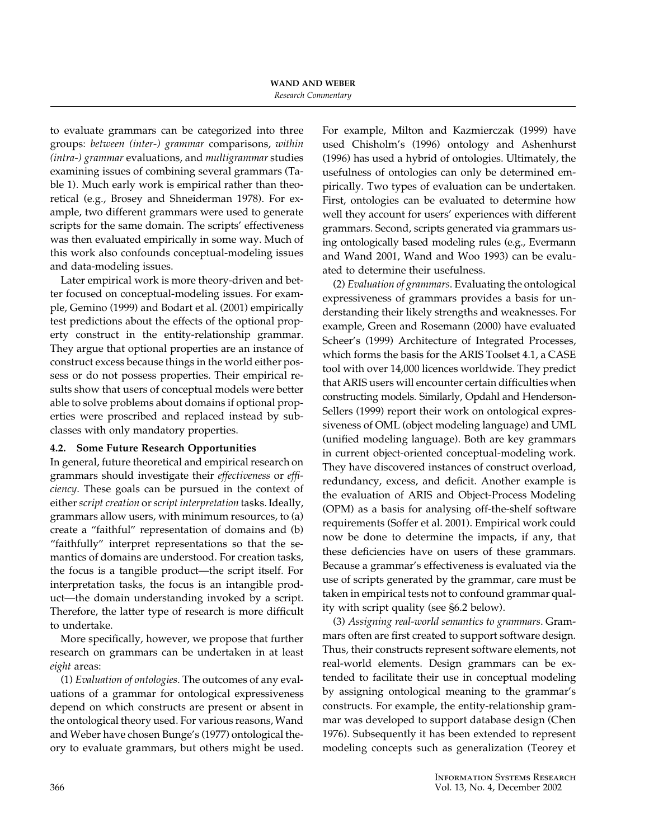to evaluate grammars can be categorized into three groups: *between (inter-) grammar* comparisons, *within (intra-) grammar* evaluations, and *multigrammar* studies examining issues of combining several grammars (Table 1). Much early work is empirical rather than theoretical (e.g., Brosey and Shneiderman 1978). For example, two different grammars were used to generate scripts for the same domain. The scripts' effectiveness was then evaluated empirically in some way. Much of this work also confounds conceptual-modeling issues and data-modeling issues.

Later empirical work is more theory-driven and better focused on conceptual-modeling issues. For example, Gemino (1999) and Bodart et al. (2001) empirically test predictions about the effects of the optional property construct in the entity-relationship grammar. They argue that optional properties are an instance of construct excess because things in the world either possess or do not possess properties. Their empirical results show that users of conceptual models were better able to solve problems about domains if optional properties were proscribed and replaced instead by subclasses with only mandatory properties.

### **4.2. Some Future Research Opportunities**

In general, future theoretical and empirical research on grammars should investigate their *effectiveness* or *efficiency*. These goals can be pursued in the context of either *script creation* or*script interpretation* tasks. Ideally, grammars allow users, with minimum resources, to (a) create a "faithful" representation of domains and (b) "faithfully" interpret representations so that the semantics of domains are understood. For creation tasks, the focus is a tangible product—the script itself. For interpretation tasks, the focus is an intangible product—the domain understanding invoked by a script. Therefore, the latter type of research is more difficult to undertake.

More specifically, however, we propose that further research on grammars can be undertaken in at least *eight* areas:

(1) *Evaluation of ontologies*. The outcomes of any evaluations of a grammar for ontological expressiveness depend on which constructs are present or absent in the ontological theory used. For various reasons, Wand and Weber have chosen Bunge's (1977) ontological theory to evaluate grammars, but others might be used.

For example, Milton and Kazmierczak (1999) have used Chisholm's (1996) ontology and Ashenhurst (1996) has used a hybrid of ontologies. Ultimately, the usefulness of ontologies can only be determined empirically. Two types of evaluation can be undertaken. First, ontologies can be evaluated to determine how well they account for users' experiences with different grammars. Second, scripts generated via grammars using ontologically based modeling rules (e.g., Evermann and Wand 2001, Wand and Woo 1993) can be evaluated to determine their usefulness.

(2) *Evaluation of grammars*. Evaluating the ontological expressiveness of grammars provides a basis for understanding their likely strengths and weaknesses. For example, Green and Rosemann (2000) have evaluated Scheer's (1999) Architecture of Integrated Processes, which forms the basis for the ARIS Toolset 4.1, a CASE tool with over 14,000 licences worldwide. They predict that ARIS users will encounter certain difficulties when constructing models. Similarly, Opdahl and Henderson-Sellers (1999) report their work on ontological expressiveness of OML (object modeling language) and UML (unified modeling language). Both are key grammars in current object-oriented conceptual-modeling work. They have discovered instances of construct overload, redundancy, excess, and deficit. Another example is the evaluation of ARIS and Object-Process Modeling (OPM) as a basis for analysing off-the-shelf software requirements (Soffer et al. 2001). Empirical work could now be done to determine the impacts, if any, that these deficiencies have on users of these grammars. Because a grammar's effectiveness is evaluated via the use of scripts generated by the grammar, care must be taken in empirical tests not to confound grammar quality with script quality (see §6.2 below).

(3) *Assigning real-world semantics to grammars*. Grammars often are first created to support software design. Thus, their constructs represent software elements, not real-world elements. Design grammars can be extended to facilitate their use in conceptual modeling by assigning ontological meaning to the grammar's constructs. For example, the entity-relationship grammar was developed to support database design (Chen 1976). Subsequently it has been extended to represent modeling concepts such as generalization (Teorey et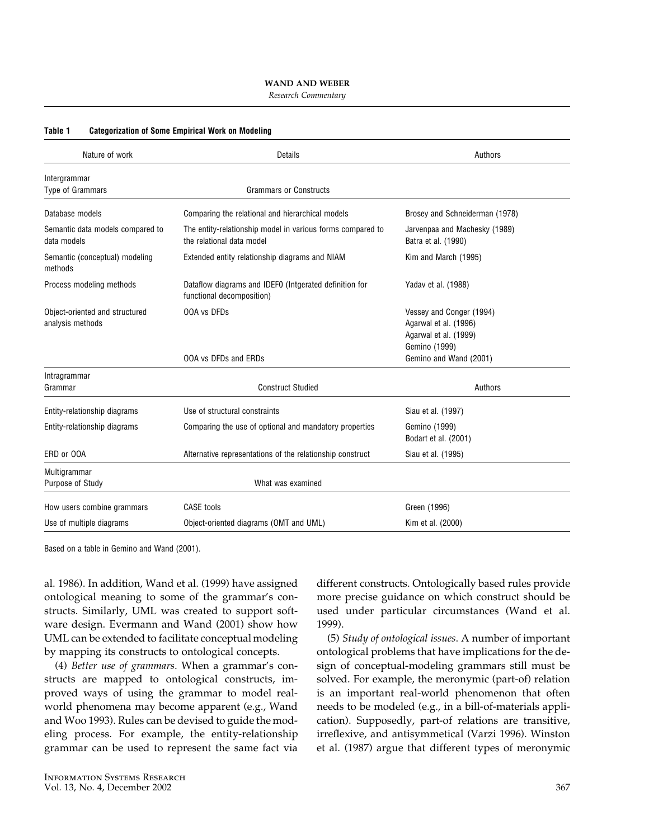#### **WAND AND WEBER**

#### *Research Commentary*

#### **Table 1 Categorization of Some Empirical Work on Modeling**

| Nature of work                                     | Details                                                                                 | Authors                                                                                     |
|----------------------------------------------------|-----------------------------------------------------------------------------------------|---------------------------------------------------------------------------------------------|
| Intergrammar<br>Type of Grammars                   | <b>Grammars or Constructs</b>                                                           |                                                                                             |
| Database models                                    | Comparing the relational and hierarchical models                                        | Brosey and Schneiderman (1978)                                                              |
| Semantic data models compared to<br>data models    | The entity-relationship model in various forms compared to<br>the relational data model | Jarvenpaa and Machesky (1989)<br>Batra et al. (1990)                                        |
| Semantic (conceptual) modeling<br>methods          | Extended entity relationship diagrams and NIAM                                          | Kim and March (1995)                                                                        |
| Process modeling methods                           | Dataflow diagrams and IDEF0 (Intgerated definition for<br>functional decomposition)     | Yadav et al. (1988)                                                                         |
| Object-oriented and structured<br>analysis methods | <b>OOA vs DFDs</b>                                                                      | Vessey and Conger (1994)<br>Agarwal et al. (1996)<br>Agarwal et al. (1999)<br>Gemino (1999) |
|                                                    | 00A vs DFDs and ERDs                                                                    | Gemino and Wand (2001)                                                                      |
| Intragrammar<br>Grammar                            | <b>Construct Studied</b>                                                                | Authors                                                                                     |
| Entity-relationship diagrams                       | Use of structural constraints                                                           | Siau et al. (1997)                                                                          |
| Entity-relationship diagrams                       | Comparing the use of optional and mandatory properties                                  | Gemino (1999)<br>Bodart et al. (2001)                                                       |
| ERD or OOA                                         | Alternative representations of the relationship construct                               | Siau et al. (1995)                                                                          |
| Multigrammar<br>Purpose of Study                   | What was examined                                                                       |                                                                                             |
| How users combine grammars                         | <b>CASE tools</b>                                                                       | Green (1996)                                                                                |
| Use of multiple diagrams                           | Object-oriented diagrams (OMT and UML)                                                  | Kim et al. (2000)                                                                           |

Based on a table in Gemino and Wand (2001).

al. 1986). In addition, Wand et al. (1999) have assigned ontological meaning to some of the grammar's constructs. Similarly, UML was created to support software design. Evermann and Wand (2001) show how UML can be extended to facilitate conceptual modeling by mapping its constructs to ontological concepts.

(4) *Better use of grammars*. When a grammar's constructs are mapped to ontological constructs, improved ways of using the grammar to model realworld phenomena may become apparent (e.g., Wand and Woo 1993). Rules can be devised to guide the modeling process. For example, the entity-relationship grammar can be used to represent the same fact via

Information Systems Research Vol. 13, No. 4, December 2002 367

different constructs. Ontologically based rules provide more precise guidance on which construct should be used under particular circumstances (Wand et al. 1999).

(5) *Study of ontological issues*. A number of important ontological problems that have implications for the design of conceptual-modeling grammars still must be solved. For example, the meronymic (part-of) relation is an important real-world phenomenon that often needs to be modeled (e.g., in a bill-of-materials application). Supposedly, part-of relations are transitive, irreflexive, and antisymmetical (Varzi 1996). Winston et al. (1987) argue that different types of meronymic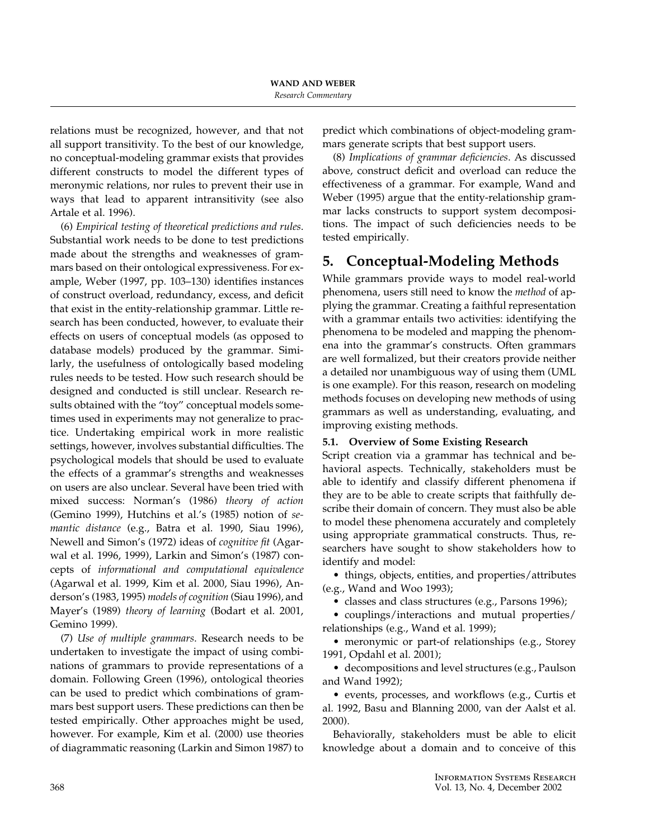relations must be recognized, however, and that not all support transitivity. To the best of our knowledge, no conceptual-modeling grammar exists that provides different constructs to model the different types of meronymic relations, nor rules to prevent their use in ways that lead to apparent intransitivity (see also Artale et al. 1996).

(6) *Empirical testing of theoretical predictions and rules*. Substantial work needs to be done to test predictions made about the strengths and weaknesses of grammars based on their ontological expressiveness. For example, Weber (1997, pp. 103–130) identifies instances of construct overload, redundancy, excess, and deficit that exist in the entity-relationship grammar. Little research has been conducted, however, to evaluate their effects on users of conceptual models (as opposed to database models) produced by the grammar. Similarly, the usefulness of ontologically based modeling rules needs to be tested. How such research should be designed and conducted is still unclear. Research results obtained with the "toy" conceptual models sometimes used in experiments may not generalize to practice. Undertaking empirical work in more realistic settings, however, involves substantial difficulties. The psychological models that should be used to evaluate the effects of a grammar's strengths and weaknesses on users are also unclear. Several have been tried with mixed success: Norman's (1986) *theory of action* (Gemino 1999), Hutchins et al.'s (1985) notion of *semantic distance* (e.g., Batra et al. 1990, Siau 1996), Newell and Simon's (1972) ideas of *cognitive fit* (Agarwal et al. 1996, 1999), Larkin and Simon's (1987) concepts of *informational and computational equivalence* (Agarwal et al. 1999, Kim et al. 2000, Siau 1996), Anderson's (1983, 1995) *models of cognition* (Siau 1996), and Mayer's (1989) *theory of learning* (Bodart et al. 2001, Gemino 1999).

(7) *Use of multiple grammars*. Research needs to be undertaken to investigate the impact of using combinations of grammars to provide representations of a domain. Following Green (1996), ontological theories can be used to predict which combinations of grammars best support users. These predictions can then be tested empirically. Other approaches might be used, however. For example, Kim et al. (2000) use theories of diagrammatic reasoning (Larkin and Simon 1987) to

predict which combinations of object-modeling grammars generate scripts that best support users.

(8) *Implications of grammar deficiencies*. As discussed above, construct deficit and overload can reduce the effectiveness of a grammar. For example, Wand and Weber (1995) argue that the entity-relationship grammar lacks constructs to support system decompositions. The impact of such deficiencies needs to be tested empirically.

# **5. Conceptual-Modeling Methods**

While grammars provide ways to model real-world phenomena, users still need to know the *method* of applying the grammar. Creating a faithful representation with a grammar entails two activities: identifying the phenomena to be modeled and mapping the phenomena into the grammar's constructs. Often grammars are well formalized, but their creators provide neither a detailed nor unambiguous way of using them (UML is one example). For this reason, research on modeling methods focuses on developing new methods of using grammars as well as understanding, evaluating, and improving existing methods.

### **5.1. Overview of Some Existing Research**

Script creation via a grammar has technical and behavioral aspects. Technically, stakeholders must be able to identify and classify different phenomena if they are to be able to create scripts that faithfully describe their domain of concern. They must also be able to model these phenomena accurately and completely using appropriate grammatical constructs. Thus, researchers have sought to show stakeholders how to identify and model:

• things, objects, entities, and properties/attributes (e.g., Wand and Woo 1993);

• classes and class structures (e.g., Parsons 1996);

• couplings/interactions and mutual properties/ relationships (e.g., Wand et al. 1999);

• meronymic or part-of relationships (e.g., Storey 1991, Opdahl et al. 2001);

• decompositions and level structures (e.g., Paulson and Wand 1992);

• events, processes, and workflows (e.g., Curtis et al. 1992, Basu and Blanning 2000, van der Aalst et al. 2000).

Behaviorally, stakeholders must be able to elicit knowledge about a domain and to conceive of this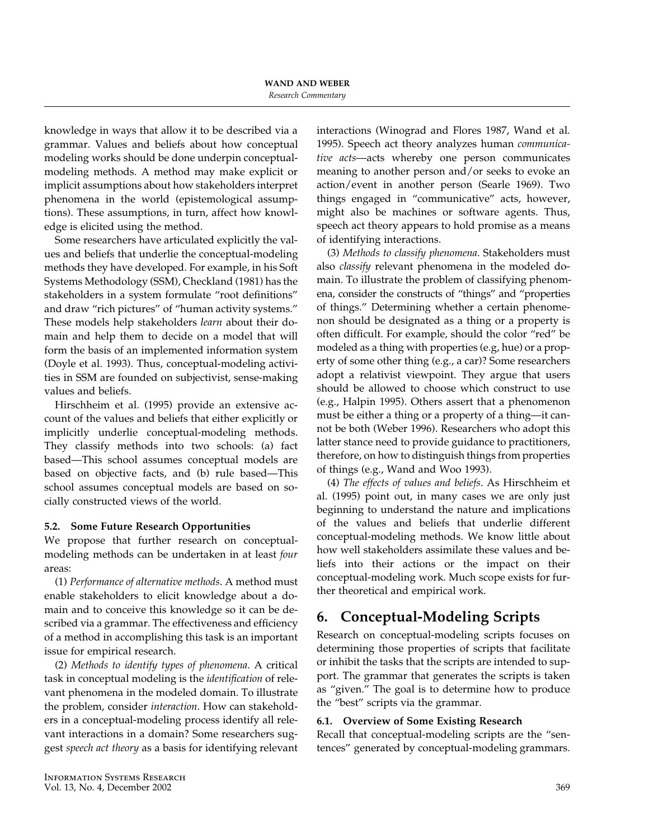knowledge in ways that allow it to be described via a grammar. Values and beliefs about how conceptual modeling works should be done underpin conceptualmodeling methods. A method may make explicit or implicit assumptions about how stakeholders interpret phenomena in the world (epistemological assumptions). These assumptions, in turn, affect how knowledge is elicited using the method.

Some researchers have articulated explicitly the values and beliefs that underlie the conceptual-modeling methods they have developed. For example, in his Soft Systems Methodology (SSM), Checkland (1981) has the stakeholders in a system formulate "root definitions" and draw "rich pictures" of "human activity systems." These models help stakeholders *learn* about their domain and help them to decide on a model that will form the basis of an implemented information system (Doyle et al. 1993). Thus, conceptual-modeling activities in SSM are founded on subjectivist, sense-making values and beliefs.

Hirschheim et al. (1995) provide an extensive account of the values and beliefs that either explicitly or implicitly underlie conceptual-modeling methods. They classify methods into two schools: (a) fact based—This school assumes conceptual models are based on objective facts, and (b) rule based—This school assumes conceptual models are based on socially constructed views of the world.

### **5.2. Some Future Research Opportunities**

We propose that further research on conceptualmodeling methods can be undertaken in at least *four* areas:

(1) *Performance of alternative methods*. A method must enable stakeholders to elicit knowledge about a domain and to conceive this knowledge so it can be described via a grammar. The effectiveness and efficiency of a method in accomplishing this task is an important issue for empirical research.

(2) *Methods to identify types of phenomena*. A critical task in conceptual modeling is the *identification* of relevant phenomena in the modeled domain. To illustrate the problem, consider *interaction*. How can stakeholders in a conceptual-modeling process identify all relevant interactions in a domain? Some researchers suggest *speech act theory* as a basis for identifying relevant interactions (Winograd and Flores 1987, Wand et al. 1995). Speech act theory analyzes human *communicative acts*—acts whereby one person communicates meaning to another person and/or seeks to evoke an action/event in another person (Searle 1969). Two things engaged in "communicative" acts, however, might also be machines or software agents. Thus, speech act theory appears to hold promise as a means of identifying interactions.

(3) *Methods to classify phenomena*. Stakeholders must also *classify* relevant phenomena in the modeled domain. To illustrate the problem of classifying phenomena, consider the constructs of "things" and "properties of things." Determining whether a certain phenomenon should be designated as a thing or a property is often difficult. For example, should the color "red" be modeled as a thing with properties (e.g, hue) or a property of some other thing (e.g., a car)? Some researchers adopt a relativist viewpoint. They argue that users should be allowed to choose which construct to use (e.g., Halpin 1995). Others assert that a phenomenon must be either a thing or a property of a thing—it cannot be both (Weber 1996). Researchers who adopt this latter stance need to provide guidance to practitioners, therefore, on how to distinguish things from properties of things (e.g., Wand and Woo 1993).

(4) *The effects of values and beliefs*. As Hirschheim et al. (1995) point out, in many cases we are only just beginning to understand the nature and implications of the values and beliefs that underlie different conceptual-modeling methods. We know little about how well stakeholders assimilate these values and beliefs into their actions or the impact on their conceptual-modeling work. Much scope exists for further theoretical and empirical work.

# **6. Conceptual-Modeling Scripts**

Research on conceptual-modeling scripts focuses on determining those properties of scripts that facilitate or inhibit the tasks that the scripts are intended to support. The grammar that generates the scripts is taken as "given." The goal is to determine how to produce the "best" scripts via the grammar.

### **6.1. Overview of Some Existing Research**

Recall that conceptual-modeling scripts are the "sentences" generated by conceptual-modeling grammars.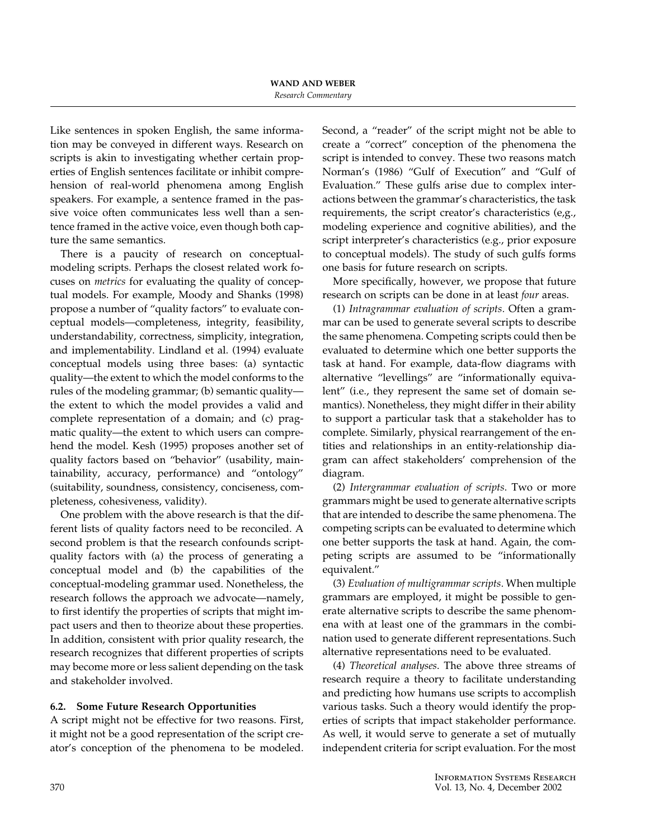Like sentences in spoken English, the same information may be conveyed in different ways. Research on scripts is akin to investigating whether certain properties of English sentences facilitate or inhibit comprehension of real-world phenomena among English speakers. For example, a sentence framed in the passive voice often communicates less well than a sentence framed in the active voice, even though both capture the same semantics.

There is a paucity of research on conceptualmodeling scripts. Perhaps the closest related work focuses on *metrics* for evaluating the quality of conceptual models. For example, Moody and Shanks (1998) propose a number of "quality factors" to evaluate conceptual models—completeness, integrity, feasibility, understandability, correctness, simplicity, integration, and implementability. Lindland et al. (1994) evaluate conceptual models using three bases: (a) syntactic quality—the extent to which the model conforms to the rules of the modeling grammar; (b) semantic quality the extent to which the model provides a valid and complete representation of a domain; and (c) pragmatic quality—the extent to which users can comprehend the model. Kesh (1995) proposes another set of quality factors based on "behavior" (usability, maintainability, accuracy, performance) and "ontology" (suitability, soundness, consistency, conciseness, completeness, cohesiveness, validity).

One problem with the above research is that the different lists of quality factors need to be reconciled. A second problem is that the research confounds scriptquality factors with (a) the process of generating a conceptual model and (b) the capabilities of the conceptual-modeling grammar used. Nonetheless, the research follows the approach we advocate—namely, to first identify the properties of scripts that might impact users and then to theorize about these properties. In addition, consistent with prior quality research, the research recognizes that different properties of scripts may become more or less salient depending on the task and stakeholder involved.

### **6.2. Some Future Research Opportunities**

A script might not be effective for two reasons. First, it might not be a good representation of the script creator's conception of the phenomena to be modeled. Second, a "reader" of the script might not be able to create a "correct" conception of the phenomena the script is intended to convey. These two reasons match Norman's (1986) "Gulf of Execution" and "Gulf of Evaluation." These gulfs arise due to complex interactions between the grammar's characteristics, the task requirements, the script creator's characteristics (e,g., modeling experience and cognitive abilities), and the script interpreter's characteristics (e.g., prior exposure to conceptual models). The study of such gulfs forms one basis for future research on scripts.

More specifically, however, we propose that future research on scripts can be done in at least *four* areas.

(1) *Intragrammar evaluation of scripts.* Often a grammar can be used to generate several scripts to describe the same phenomena. Competing scripts could then be evaluated to determine which one better supports the task at hand. For example, data-flow diagrams with alternative "levellings" are "informationally equivalent" (i.e., they represent the same set of domain semantics). Nonetheless, they might differ in their ability to support a particular task that a stakeholder has to complete. Similarly, physical rearrangement of the entities and relationships in an entity-relationship diagram can affect stakeholders' comprehension of the diagram.

(2) *Intergrammar evaluation of scripts*. Two or more grammars might be used to generate alternative scripts that are intended to describe the same phenomena. The competing scripts can be evaluated to determine which one better supports the task at hand. Again, the competing scripts are assumed to be "informationally equivalent."

(3) *Evaluation of multigrammar scripts*. When multiple grammars are employed, it might be possible to generate alternative scripts to describe the same phenomena with at least one of the grammars in the combination used to generate different representations. Such alternative representations need to be evaluated.

(4) *Theoretical analyses*. The above three streams of research require a theory to facilitate understanding and predicting how humans use scripts to accomplish various tasks. Such a theory would identify the properties of scripts that impact stakeholder performance. As well, it would serve to generate a set of mutually independent criteria for script evaluation. For the most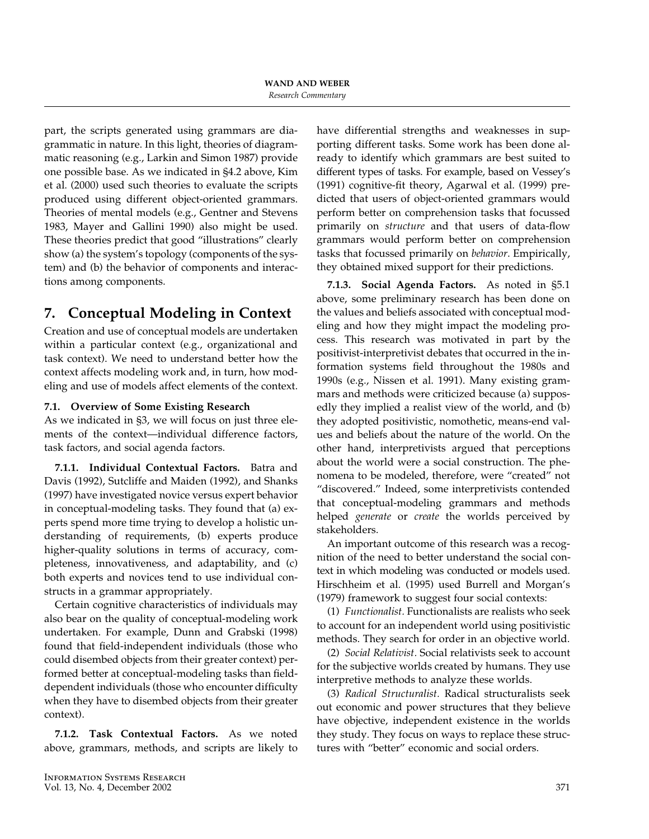part, the scripts generated using grammars are diagrammatic in nature. In this light, theories of diagrammatic reasoning (e.g., Larkin and Simon 1987) provide one possible base. As we indicated in §4.2 above, Kim et al. (2000) used such theories to evaluate the scripts produced using different object-oriented grammars. Theories of mental models (e.g., Gentner and Stevens 1983, Mayer and Gallini 1990) also might be used. These theories predict that good "illustrations" clearly show (a) the system's topology (components of the system) and (b) the behavior of components and interactions among components.

# **7. Conceptual Modeling in Context**

Creation and use of conceptual models are undertaken within a particular context (e.g., organizational and task context). We need to understand better how the context affects modeling work and, in turn, how modeling and use of models affect elements of the context.

### **7.1. Overview of Some Existing Research**

As we indicated in §3, we will focus on just three elements of the context—individual difference factors, task factors, and social agenda factors.

**7.1.1. Individual Contextual Factors.** Batra and Davis (1992), Sutcliffe and Maiden (1992), and Shanks (1997) have investigated novice versus expert behavior in conceptual-modeling tasks. They found that (a) experts spend more time trying to develop a holistic understanding of requirements, (b) experts produce higher-quality solutions in terms of accuracy, completeness, innovativeness, and adaptability, and (c) both experts and novices tend to use individual constructs in a grammar appropriately.

Certain cognitive characteristics of individuals may also bear on the quality of conceptual-modeling work undertaken. For example, Dunn and Grabski (1998) found that field-independent individuals (those who could disembed objects from their greater context) performed better at conceptual-modeling tasks than fielddependent individuals (those who encounter difficulty when they have to disembed objects from their greater context).

**7.1.2. Task Contextual Factors.** As we noted above, grammars, methods, and scripts are likely to

porting different tasks. Some work has been done already to identify which grammars are best suited to different types of tasks. For example, based on Vessey's (1991) cognitive-fit theory, Agarwal et al. (1999) predicted that users of object-oriented grammars would perform better on comprehension tasks that focussed primarily on *structure* and that users of data-flow grammars would perform better on comprehension tasks that focussed primarily on *behavior*. Empirically, they obtained mixed support for their predictions.

have differential strengths and weaknesses in sup-

**7.1.3. Social Agenda Factors.** As noted in §5.1 above, some preliminary research has been done on the values and beliefs associated with conceptual modeling and how they might impact the modeling process. This research was motivated in part by the positivist-interpretivist debates that occurred in the information systems field throughout the 1980s and 1990s (e.g., Nissen et al. 1991). Many existing grammars and methods were criticized because (a) supposedly they implied a realist view of the world, and (b) they adopted positivistic, nomothetic, means-end values and beliefs about the nature of the world. On the other hand, interpretivists argued that perceptions about the world were a social construction. The phenomena to be modeled, therefore, were "created" not "discovered." Indeed, some interpretivists contended that conceptual-modeling grammars and methods helped *generate* or *create* the worlds perceived by stakeholders.

An important outcome of this research was a recognition of the need to better understand the social context in which modeling was conducted or models used. Hirschheim et al. (1995) used Burrell and Morgan's (1979) framework to suggest four social contexts:

(1) *Functionalist.* Functionalists are realists who seek to account for an independent world using positivistic methods. They search for order in an objective world.

(2) *Social Relativist.* Social relativists seek to account for the subjective worlds created by humans. They use interpretive methods to analyze these worlds.

(3) *Radical Structuralist.* Radical structuralists seek out economic and power structures that they believe have objective, independent existence in the worlds they study. They focus on ways to replace these structures with "better" economic and social orders.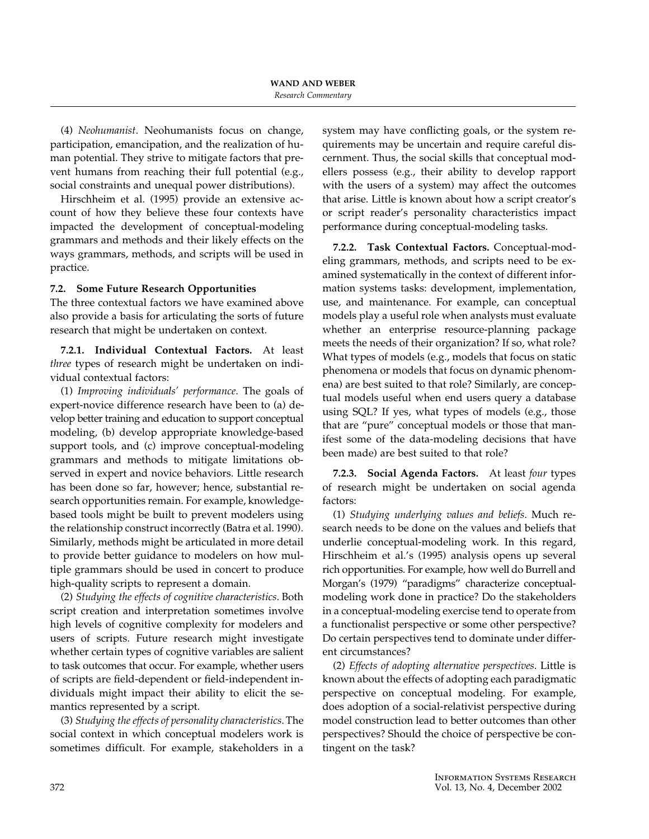(4) *Neohumanist.* Neohumanists focus on change, participation, emancipation, and the realization of human potential. They strive to mitigate factors that prevent humans from reaching their full potential (e.g., social constraints and unequal power distributions).

Hirschheim et al. (1995) provide an extensive account of how they believe these four contexts have impacted the development of conceptual-modeling grammars and methods and their likely effects on the ways grammars, methods, and scripts will be used in practice.

### **7.2.** Some Future Research Opportunities

The three contextual factors we have examined above also provide a basis for articulating the sorts of future research that might be undertaken on context.

**7.2.1. Individual Contextual Factors.** At least *three* types of research might be undertaken on individual contextual factors:

(1) *Improving individuals' performance*. The goals of expert-novice difference research have been to (a) develop better training and education to support conceptual modeling, (b) develop appropriate knowledge-based support tools, and (c) improve conceptual-modeling grammars and methods to mitigate limitations observed in expert and novice behaviors. Little research has been done so far, however; hence, substantial research opportunities remain. For example, knowledgebased tools might be built to prevent modelers using the relationship construct incorrectly (Batra et al. 1990). Similarly, methods might be articulated in more detail to provide better guidance to modelers on how multiple grammars should be used in concert to produce high-quality scripts to represent a domain.

(2) *Studying the effects of cognitive characteristics*. Both script creation and interpretation sometimes involve high levels of cognitive complexity for modelers and users of scripts. Future research might investigate whether certain types of cognitive variables are salient to task outcomes that occur. For example, whether users of scripts are field-dependent or field-independent individuals might impact their ability to elicit the semantics represented by a script.

(3) *Studying the effects of personality characteristics*. The social context in which conceptual modelers work is sometimes difficult. For example, stakeholders in a

system may have conflicting goals, or the system requirements may be uncertain and require careful discernment. Thus, the social skills that conceptual modellers possess (e.g., their ability to develop rapport with the users of a system) may affect the outcomes that arise. Little is known about how a script creator's or script reader's personality characteristics impact performance during conceptual-modeling tasks.

**7.2.2. Task Contextual Factors.** Conceptual-modeling grammars, methods, and scripts need to be examined systematically in the context of different information systems tasks: development, implementation, use, and maintenance. For example, can conceptual models play a useful role when analysts must evaluate whether an enterprise resource-planning package meets the needs of their organization? If so, what role? What types of models (e.g., models that focus on static phenomena or models that focus on dynamic phenomena) are best suited to that role? Similarly, are conceptual models useful when end users query a database using SQL? If yes, what types of models (e.g., those that are "pure" conceptual models or those that manifest some of the data-modeling decisions that have been made) are best suited to that role?

**7.2.3. Social Agenda Factors.** At least *four* types of research might be undertaken on social agenda factors:

(1) *Studying underlying values and beliefs*. Much research needs to be done on the values and beliefs that underlie conceptual-modeling work. In this regard, Hirschheim et al.'s (1995) analysis opens up several rich opportunities. For example, how well do Burrell and Morgan's (1979) "paradigms" characterize conceptualmodeling work done in practice? Do the stakeholders in a conceptual-modeling exercise tend to operate from a functionalist perspective or some other perspective? Do certain perspectives tend to dominate under different circumstances?

(2) *Effects of adopting alternative perspectives*. Little is known about the effects of adopting each paradigmatic perspective on conceptual modeling. For example, does adoption of a social-relativist perspective during model construction lead to better outcomes than other perspectives? Should the choice of perspective be contingent on the task?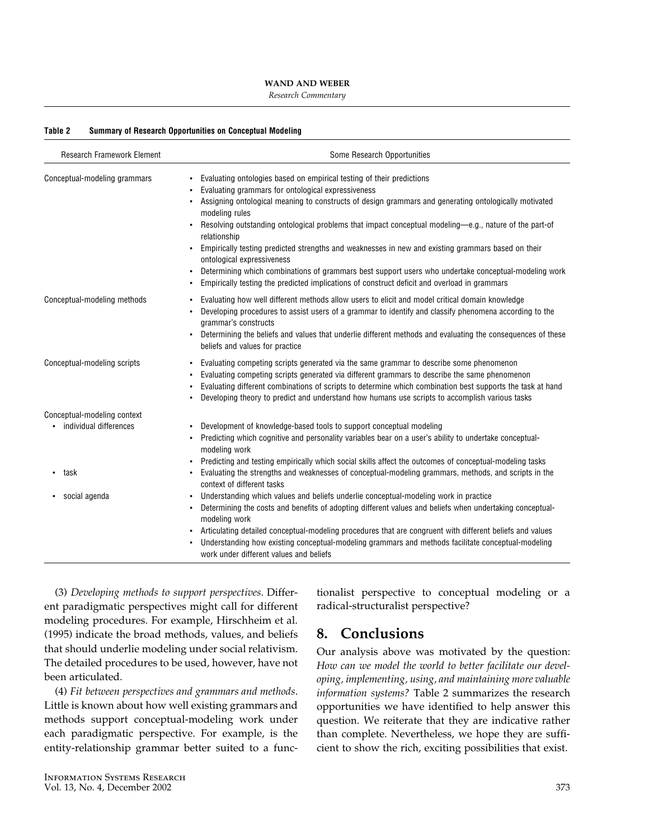#### **WAND AND WEBER**

#### *Research Commentary*

#### **Table 2 Summary of Research Opportunities on Conceptual Modeling**

| <b>Research Framework Element</b>                                                             | Some Research Opportunities                                                                                                                                                                                                                                                                                                                                                                                                                                                                                                                                                                                                                                                                                                                                                                                                                                                                                                             |  |
|-----------------------------------------------------------------------------------------------|-----------------------------------------------------------------------------------------------------------------------------------------------------------------------------------------------------------------------------------------------------------------------------------------------------------------------------------------------------------------------------------------------------------------------------------------------------------------------------------------------------------------------------------------------------------------------------------------------------------------------------------------------------------------------------------------------------------------------------------------------------------------------------------------------------------------------------------------------------------------------------------------------------------------------------------------|--|
| Conceptual-modeling grammars                                                                  | • Evaluating ontologies based on empirical testing of their predictions<br>Evaluating grammars for ontological expressiveness<br>٠<br>Assigning ontological meaning to constructs of design grammars and generating ontologically motivated<br>modeling rules<br>Resolving outstanding ontological problems that impact conceptual modeling—e.g., nature of the part-of<br>relationship<br>Empirically testing predicted strengths and weaknesses in new and existing grammars based on their<br>ontological expressiveness<br>Determining which combinations of grammars best support users who undertake conceptual-modeling work<br>Empirically testing the predicted implications of construct deficit and overload in grammars                                                                                                                                                                                                     |  |
| Conceptual-modeling methods                                                                   | Evaluating how well different methods allow users to elicit and model critical domain knowledge<br>Developing procedures to assist users of a grammar to identify and classify phenomena according to the<br>grammar's constructs<br>Determining the beliefs and values that underlie different methods and evaluating the consequences of these<br>beliefs and values for practice                                                                                                                                                                                                                                                                                                                                                                                                                                                                                                                                                     |  |
| Conceptual-modeling scripts                                                                   | Evaluating competing scripts generated via the same grammar to describe some phenomenon<br>Evaluating competing scripts generated via different grammars to describe the same phenomenon<br>Evaluating different combinations of scripts to determine which combination best supports the task at hand<br>Developing theory to predict and understand how humans use scripts to accomplish various tasks                                                                                                                                                                                                                                                                                                                                                                                                                                                                                                                                |  |
| Conceptual-modeling context<br>• individual differences<br>task<br>$\bullet$<br>social agenda | Development of knowledge-based tools to support conceptual modeling<br>Predicting which cognitive and personality variables bear on a user's ability to undertake conceptual-<br>modeling work<br>Predicting and testing empirically which social skills affect the outcomes of conceptual-modeling tasks<br>Evaluating the strengths and weaknesses of conceptual-modeling grammars, methods, and scripts in the<br>context of different tasks<br>Understanding which values and beliefs underlie conceptual-modeling work in practice<br>Determining the costs and benefits of adopting different values and beliefs when undertaking conceptual-<br>modeling work<br>Articulating detailed conceptual-modeling procedures that are congruent with different beliefs and values<br>٠<br>Understanding how existing conceptual-modeling grammars and methods facilitate conceptual-modeling<br>work under different values and beliefs |  |

(3) *Developing methods to support perspectives*. Different paradigmatic perspectives might call for different modeling procedures. For example, Hirschheim et al. (1995) indicate the broad methods, values, and beliefs that should underlie modeling under social relativism. The detailed procedures to be used, however, have not been articulated.

(4) *Fit between perspectives and grammars and methods*. Little is known about how well existing grammars and methods support conceptual-modeling work under each paradigmatic perspective. For example, is the entity-relationship grammar better suited to a func-

tionalist perspective to conceptual modeling or a radical-structuralist perspective?

# **8. Conclusions**

Our analysis above was motivated by the question: *How can we model the world to better facilitate our developing, implementing, using, and maintaining more valuable information systems?* Table 2 summarizes the research opportunities we have identified to help answer this question. We reiterate that they are indicative rather than complete. Nevertheless, we hope they are sufficient to show the rich, exciting possibilities that exist.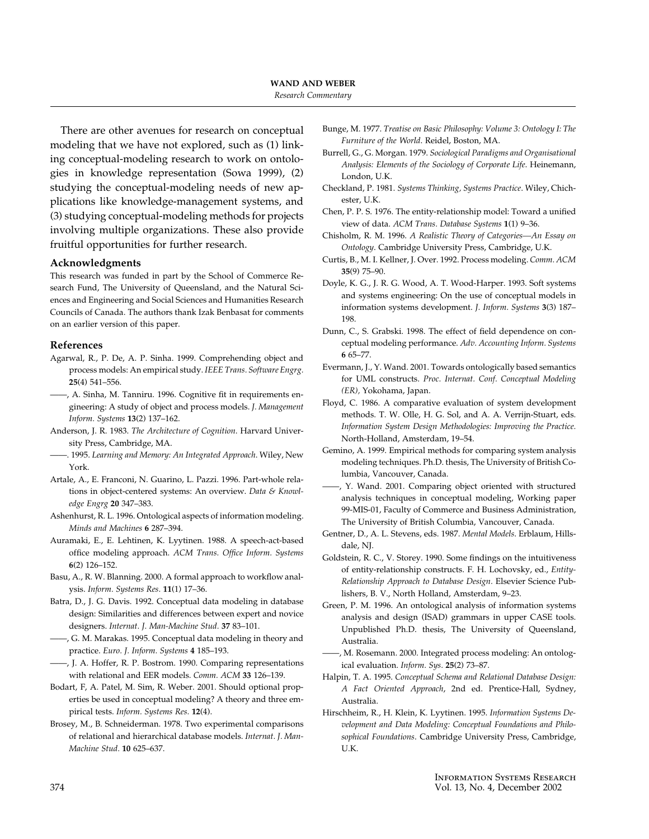There are other avenues for research on conceptual modeling that we have not explored, such as (1) linking conceptual-modeling research to work on ontologies in knowledge representation (Sowa 1999), (2) studying the conceptual-modeling needs of new applications like knowledge-management systems, and (3) studying conceptual-modeling methods for projects involving multiple organizations. These also provide fruitful opportunities for further research.

### **Acknowledgments**

This research was funded in part by the School of Commerce Research Fund, The University of Queensland, and the Natural Sciences and Engineering and Social Sciences and Humanities Research Councils of Canada. The authors thank Izak Benbasat for comments on an earlier version of this paper.

#### **References**

- Agarwal, R., P. De, A. P. Sinha. 1999. Comprehending object and process models: An empirical study. *IEEE Trans. Software Engrg.* **25**(4) 541–556.
- ——, A. Sinha, M. Tanniru. 1996. Cognitive fit in requirements engineering: A study of object and process models. *J. Management Inform. Systems* **13**(2) 137–162.
- Anderson, J. R. 1983. *The Architecture of Cognition*. Harvard University Press, Cambridge, MA.
- ——. 1995. *Learning and Memory: An Integrated Approach*. Wiley, New York.
- Artale, A., E. Franconi, N. Guarino, L. Pazzi. 1996. Part-whole relations in object-centered systems: An overview. *Data & Knowledge Engrg* **20** 347–383.
- Ashenhurst, R. L. 1996. Ontological aspects of information modeling. *Minds and Machines* **6** 287–394.
- Auramaki, E., E. Lehtinen, K. Lyytinen. 1988. A speech-act-based office modeling approach. *ACM Trans. Office Inform. Systems* **6**(2) 126–152.
- Basu, A., R. W. Blanning. 2000. A formal approach to workflow analysis. *Inform. Systems Res.* **11**(1) 17–36.
- Batra, D., J. G. Davis. 1992. Conceptual data modeling in database design: Similarities and differences between expert and novice designers. *Internat. J. Man-Machine Stud.* **37** 83–101.
- -, G. M. Marakas. 1995. Conceptual data modeling in theory and practice. *Euro. J. Inform. Systems* **4** 185–193.
- ——, J. A. Hoffer, R. P. Bostrom. 1990. Comparing representations with relational and EER models. *Comm. ACM* **33** 126–139.
- Bodart, F, A. Patel, M. Sim, R. Weber. 2001. Should optional properties be used in conceptual modeling? A theory and three empirical tests. *Inform. Systems Res.* **12**(4).
- Brosey, M., B. Schneiderman. 1978. Two experimental comparisons of relational and hierarchical database models. *Internat. J. Man-Machine Stud.* **10** 625–637.
- Bunge, M. 1977. *Treatise on Basic Philosophy: Volume 3: Ontology I: The Furniture of the World*. Reidel, Boston, MA.
- Burrell, G., G. Morgan. 1979. *Sociological Paradigms and Organisational Analysis: Elements of the Sociology of Corporate Life*. Heinemann, London, U.K.
- Checkland, P. 1981. *Systems Thinking, Systems Practice*. Wiley, Chichester, U.K.
- Chen, P. P. S. 1976. The entity-relationship model: Toward a unified view of data. *ACM Trans. Database Systems* **1**(1) 9–36.
- Chisholm, R. M. 1996. *A Realistic Theory of Categories—An Essay on Ontology*. Cambridge University Press, Cambridge, U.K.
- Curtis, B., M. I. Kellner, J. Over. 1992. Process modeling. *Comm. ACM* **35**(9) 75–90.
- Doyle, K. G., J. R. G. Wood, A. T. Wood-Harper. 1993. Soft systems and systems engineering: On the use of conceptual models in information systems development. *J. Inform. Systems* **3**(3) 187– 198.
- Dunn, C., S. Grabski. 1998. The effect of field dependence on conceptual modeling performance. *Adv. Accounting Inform. Systems* **6** 65–77.
- Evermann, J., Y. Wand. 2001. Towards ontologically based semantics for UML constructs. *Proc. Internat. Conf. Conceptual Modeling (ER),* Yokohama, Japan.
- Floyd, C. 1986. A comparative evaluation of system development methods. T. W. Olle, H. G. Sol, and A. A. Verrijn-Stuart, eds. *Information System Design Methodologies: Improving the Practice.* North-Holland, Amsterdam, 19–54.
- Gemino, A. 1999. Empirical methods for comparing system analysis modeling techniques. Ph.D. thesis, The University of British Columbia, Vancouver, Canada.
- ——, Y. Wand. 2001. Comparing object oriented with structured analysis techniques in conceptual modeling, Working paper 99-MIS-01, Faculty of Commerce and Business Administration, The University of British Columbia, Vancouver, Canada.
- Gentner, D., A. L. Stevens, eds. 1987. *Mental Models*. Erblaum, Hillsdale, NJ.
- Goldstein, R. C., V. Storey. 1990. Some findings on the intuitiveness of entity-relationship constructs. F. H. Lochovsky, ed., *Entity-Relationship Approach to Database Design.* Elsevier Science Publishers, B. V., North Holland, Amsterdam, 9–23.
- Green, P. M. 1996. An ontological analysis of information systems analysis and design (ISAD) grammars in upper CASE tools. Unpublished Ph.D. thesis, The University of Queensland, Australia.
- ——, M. Rosemann. 2000. Integrated process modeling: An ontological evaluation. *Inform. Sys.* **25**(2) 73–87.
- Halpin, T. A. 1995. *Conceptual Schema and Relational Database Design: A Fact Oriented Approach*, 2nd ed. Prentice-Hall, Sydney, Australia.
- Hirschheim, R., H. Klein, K. Lyytinen. 1995. *Information Systems Development and Data Modeling: Conceptual Foundations and Philosophical Foundations*. Cambridge University Press, Cambridge, U.K.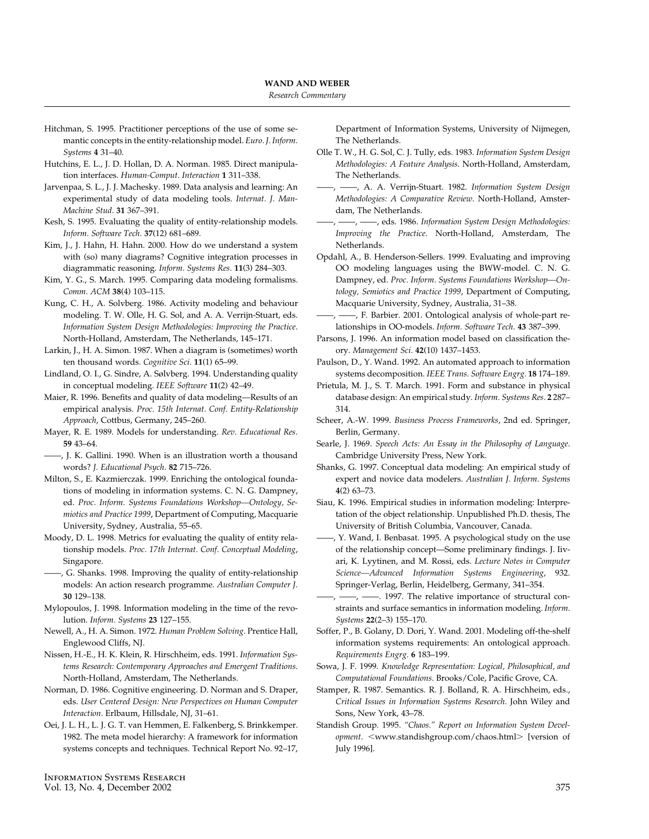- Hitchman, S. 1995. Practitioner perceptions of the use of some semantic concepts in the entity-relationship model. *Euro. J. Inform. Systems* **4** 31–40.
- Hutchins, E. L., J. D. Hollan, D. A. Norman. 1985. Direct manipulation interfaces. *Human-Comput. Interaction* **1** 311–338.
- Jarvenpaa, S. L., J. J. Machesky. 1989. Data analysis and learning: An experimental study of data modeling tools. *Internat. J. Man-Machine Stud.* **31** 367–391.
- Kesh, S. 1995. Evaluating the quality of entity-relationship models. *Inform. Software Tech.* **37**(12) 681–689.
- Kim, J., J. Hahn, H. Hahn. 2000. How do we understand a system with (so) many diagrams? Cognitive integration processes in diagrammatic reasoning. *Inform. Systems Res.* **11**(3) 284–303.
- Kim, Y. G., S. March. 1995. Comparing data modeling formalisms. *Comm. ACM* **38**(4) 103–115.
- Kung, C. H., A. Solvberg. 1986. Activity modeling and behaviour modeling. T. W. Olle, H. G. Sol, and A. A. Verrijn-Stuart, eds. *Information System Design Methodologies: Improving the Practice*. North-Holland, Amsterdam, The Netherlands, 145–171.
- Larkin, J., H. A. Simon. 1987. When a diagram is (sometimes) worth ten thousand words. *Cognitive Sci.* **11**(1) 65–99.
- Lindland, O. I., G. Sindre, A. Sølvberg. 1994. Understanding quality in conceptual modeling. *IEEE Software* **11**(2) 42–49.
- Maier, R. 1996. Benefits and quality of data modeling—Results of an empirical analysis. *Proc. 15th Internat. Conf. Entity-Relationship Approach*, Cottbus, Germany, 245–260.
- Mayer, R. E. 1989. Models for understanding. *Rev. Educational Res.* **59** 43–64.
- ——, J. K. Gallini. 1990. When is an illustration worth a thousand words? *J. Educational Psych.* **82** 715–726.
- Milton, S., E. Kazmierczak. 1999. Enriching the ontological foundations of modeling in information systems. C. N. G. Dampney, ed. *Proc. Inform. Systems Foundations Workshop—Ontology, Semiotics and Practice 1999*, Department of Computing, Macquarie University, Sydney, Australia, 55–65.
- Moody, D. L. 1998. Metrics for evaluating the quality of entity relationship models. *Proc. 17th Internat. Conf. Conceptual Modeling*, Singapore.
- ——, G. Shanks. 1998. Improving the quality of entity-relationship models: An action research programme. *Australian Computer J.* **30** 129–138.
- Mylopoulos, J. 1998. Information modeling in the time of the revolution. *Inform. Systems* **23** 127–155.
- Newell, A., H. A. Simon. 1972. *Human Problem Solving.* Prentice Hall, Englewood Cliffs, NJ.
- Nissen, H.-E., H. K. Klein, R. Hirschheim, eds. 1991. *Information Systems Research: Contemporary Approaches and Emergent Traditions*. North-Holland, Amsterdam, The Netherlands.
- Norman, D. 1986. Cognitive engineering. D. Norman and S. Draper, eds. *User Centered Design: New Perspectives on Human Computer Interaction.* Erlbaum, Hillsdale, NJ, 31–61.
- Oei, J. L. H., L. J. G. T. van Hemmen, E. Falkenberg, S. Brinkkemper. 1982. The meta model hierarchy: A framework for information systems concepts and techniques. Technical Report No. 92–17,

Department of Information Systems, University of Nijmegen, The Netherlands.

- Olle T. W., H. G. Sol, C. J. Tully, eds. 1983. *Information System Design Methodologies: A Feature Analysis*. North-Holland, Amsterdam, The Netherlands.
- ——, ——, A. A. Verrijn-Stuart. 1982. *Information System Design Methodologies: A Comparative Review*. North-Holland, Amsterdam, The Netherlands.
- ——, ——, ——, eds. 1986. *Information System Design Methodologies: Improving the Practice*. North-Holland, Amsterdam, The Netherlands.
- Opdahl, A., B. Henderson-Sellers. 1999. Evaluating and improving OO modeling languages using the BWW-model. C. N. G. Dampney, ed. *Proc. Inform. Systems Foundations Workshop—Ontology, Semiotics and Practice 1999*, Department of Computing, Macquarie University, Sydney, Australia, 31–38.
- ——, ——, F. Barbier. 2001. Ontological analysis of whole-part relationships in OO-models. *Inform. Software Tech.* **43** 387–399.
- Parsons, J. 1996. An information model based on classification theory. *Management Sci.* **42**(10) 1437–1453.
- Paulson, D., Y. Wand. 1992. An automated approach to information systems decomposition. *IEEE Trans. Software Engrg.* **18** 174–189.
- Prietula, M. J., S. T. March. 1991. Form and substance in physical database design: An empirical study. *Inform. Systems Res.* **2** 287– 314.
- Scheer, A.-W. 1999. *Business Process Frameworks*, 2nd ed. Springer, Berlin, Germany.
- Searle, J. 1969. *Speech Acts: An Essay in the Philosophy of Language*. Cambridge University Press, New York.
- Shanks, G. 1997. Conceptual data modeling: An empirical study of expert and novice data modelers. *Australian J. Inform. Systems* **4**(2) 63–73.
- Siau, K. 1996. Empirical studies in information modeling: Interpretation of the object relationship. Unpublished Ph.D. thesis, The University of British Columbia, Vancouver, Canada.
- -, Y. Wand, I. Benbasat. 1995. A psychological study on the use of the relationship concept—Some preliminary findings. J. Iivari, K. Lyytinen, and M. Rossi, eds. *Lecture Notes in Computer Science—Advanced Information Systems Engineering*, 932. Springer-Verlag, Berlin, Heidelberg, Germany, 341–354.
- ——, ——, ——. 1997. The relative importance of structural constraints and surface semantics in information modeling. *Inform. Systems* **22**(2–3) 155–170.
- Soffer, P., B. Golany, D. Dori, Y. Wand. 2001. Modeling off-the-shelf information systems requirements: An ontological approach. *Requirements Engrg.* **6** 183–199.
- Sowa, J. F. 1999. *Knowledge Representation: Logical, Philosophical, and Computational Foundations*. Brooks/Cole, Pacific Grove, CA.
- Stamper, R. 1987. Semantics. R. J. Bolland, R. A. Hirschheim, eds., *Critical Issues in Information Systems Research.* John Wiley and Sons, New York, 43–78.
- Standish Group. 1995. *"Chaos." Report on Information System Development*. <www.standishgroup.com/chaos.html> [version of July 1996].